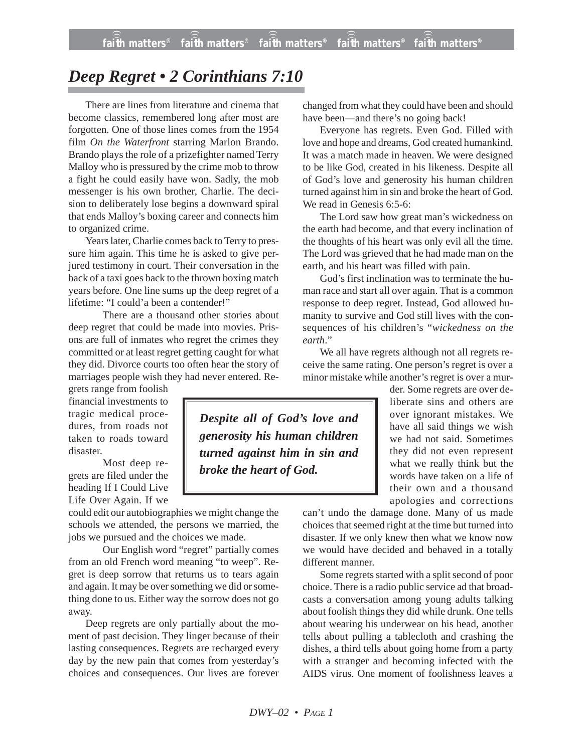## *Deep Regret • 2 Corinthians 7:10*

There are lines from literature and cinema that become classics, remembered long after most are forgotten. One of those lines comes from the 1954 film *On the Waterfront* starring Marlon Brando. Brando plays the role of a prizefighter named Terry Malloy who is pressured by the crime mob to throw a fight he could easily have won. Sadly, the mob messenger is his own brother, Charlie. The decision to deliberately lose begins a downward spiral that ends Malloy's boxing career and connects him to organized crime.

Years later, Charlie comes back to Terry to pressure him again. This time he is asked to give perjured testimony in court. Their conversation in the back of a taxi goes back to the thrown boxing match years before. One line sums up the deep regret of a lifetime: "I could'a been a contender!"

There are a thousand other stories about deep regret that could be made into movies. Prisons are full of inmates who regret the crimes they committed or at least regret getting caught for what they did. Divorce courts too often hear the story of marriages people wish they had never entered. Re-

grets range from foolish financial investments to tragic medical procedures, from roads not taken to roads toward disaster.

Most deep regrets are filed under the heading If I Could Live Life Over Again. If we

could edit our autobiographies we might change the schools we attended, the persons we married, the jobs we pursued and the choices we made.

Our English word "regret" partially comes from an old French word meaning "to weep". Regret is deep sorrow that returns us to tears again and again. It may be over something we did or something done to us. Either way the sorrow does not go away.

Deep regrets are only partially about the moment of past decision. They linger because of their lasting consequences. Regrets are recharged every day by the new pain that comes from yesterday's choices and consequences. Our lives are forever changed from what they could have been and should have been—and there's no going back!

Everyone has regrets. Even God. Filled with love and hope and dreams, God created humankind. It was a match made in heaven. We were designed to be like God, created in his likeness. Despite all of God's love and generosity his human children turned against him in sin and broke the heart of God. We read in Genesis 6:5-6:

The Lord saw how great man's wickedness on the earth had become, and that every inclination of the thoughts of his heart was only evil all the time. The Lord was grieved that he had made man on the earth, and his heart was filled with pain.

God's first inclination was to terminate the human race and start all over again. That is a common response to deep regret. Instead, God allowed humanity to survive and God still lives with the consequences of his children's "*wickedness on the earth*."

We all have regrets although not all regrets receive the same rating. One person's regret is over a minor mistake while another's regret is over a mur-

der. Some regrets are over deliberate sins and others are over ignorant mistakes. We have all said things we wish we had not said. Sometimes they did not even represent what we really think but the words have taken on a life of their own and a thousand apologies and corrections

can't undo the damage done. Many of us made choices that seemed right at the time but turned into disaster. If we only knew then what we know now we would have decided and behaved in a totally different manner.

Some regrets started with a split second of poor choice. There is a radio public service ad that broadcasts a conversation among young adults talking about foolish things they did while drunk. One tells about wearing his underwear on his head, another tells about pulling a tablecloth and crashing the dishes, a third tells about going home from a party with a stranger and becoming infected with the AIDS virus. One moment of foolishness leaves a

*Despite all of God's love and generosity his human children turned against him in sin and broke the heart of God.*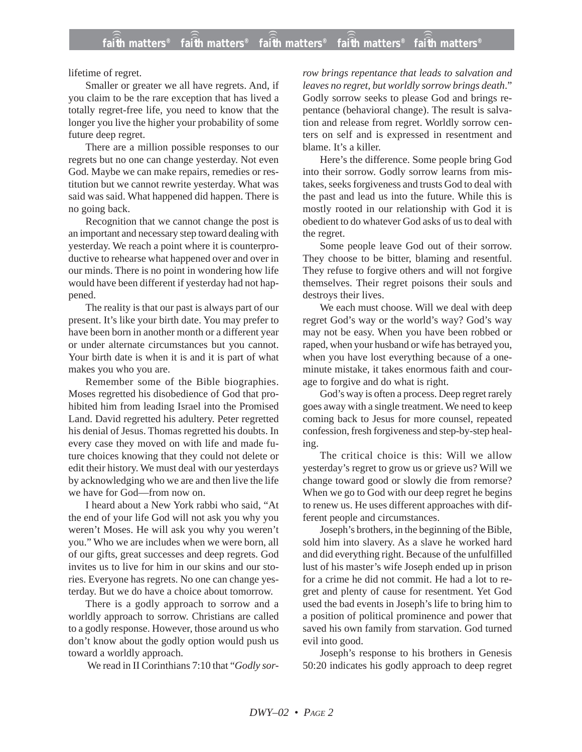lifetime of regret.

Smaller or greater we all have regrets. And, if you claim to be the rare exception that has lived a totally regret-free life, you need to know that the longer you live the higher your probability of some future deep regret.

There are a million possible responses to our regrets but no one can change yesterday. Not even God. Maybe we can make repairs, remedies or restitution but we cannot rewrite yesterday. What was said was said. What happened did happen. There is no going back.

Recognition that we cannot change the post is an important and necessary step toward dealing with yesterday. We reach a point where it is counterproductive to rehearse what happened over and over in our minds. There is no point in wondering how life would have been different if yesterday had not happened.

The reality is that our past is always part of our present. It's like your birth date. You may prefer to have been born in another month or a different year or under alternate circumstances but you cannot. Your birth date is when it is and it is part of what makes you who you are.

Remember some of the Bible biographies. Moses regretted his disobedience of God that prohibited him from leading Israel into the Promised Land. David regretted his adultery. Peter regretted his denial of Jesus. Thomas regretted his doubts. In every case they moved on with life and made future choices knowing that they could not delete or edit their history. We must deal with our yesterdays by acknowledging who we are and then live the life we have for God—from now on.

I heard about a New York rabbi who said, "At the end of your life God will not ask you why you weren't Moses. He will ask you why you weren't you." Who we are includes when we were born, all of our gifts, great successes and deep regrets. God invites us to live for him in our skins and our stories. Everyone has regrets. No one can change yesterday. But we do have a choice about tomorrow.

There is a godly approach to sorrow and a worldly approach to sorrow. Christians are called to a godly response. However, those around us who don't know about the godly option would push us toward a worldly approach.

We read in II Corinthians 7:10 that "*Godly sor-*

*row brings repentance that leads to salvation and leaves no regret, but worldly sorrow brings death*." Godly sorrow seeks to please God and brings repentance (behavioral change). The result is salvation and release from regret. Worldly sorrow centers on self and is expressed in resentment and blame. It's a killer.

Here's the difference. Some people bring God into their sorrow. Godly sorrow learns from mistakes, seeks forgiveness and trusts God to deal with the past and lead us into the future. While this is mostly rooted in our relationship with God it is obedient to do whatever God asks of us to deal with the regret.

Some people leave God out of their sorrow. They choose to be bitter, blaming and resentful. They refuse to forgive others and will not forgive themselves. Their regret poisons their souls and destroys their lives.

We each must choose. Will we deal with deep regret God's way or the world's way? God's way may not be easy. When you have been robbed or raped, when your husband or wife has betrayed you, when you have lost everything because of a oneminute mistake, it takes enormous faith and courage to forgive and do what is right.

God's way is often a process. Deep regret rarely goes away with a single treatment. We need to keep coming back to Jesus for more counsel, repeated confession, fresh forgiveness and step-by-step healing.

The critical choice is this: Will we allow yesterday's regret to grow us or grieve us? Will we change toward good or slowly die from remorse? When we go to God with our deep regret he begins to renew us. He uses different approaches with different people and circumstances.

Joseph's brothers, in the beginning of the Bible, sold him into slavery. As a slave he worked hard and did everything right. Because of the unfulfilled lust of his master's wife Joseph ended up in prison for a crime he did not commit. He had a lot to regret and plenty of cause for resentment. Yet God used the bad events in Joseph's life to bring him to a position of political prominence and power that saved his own family from starvation. God turned evil into good.

Joseph's response to his brothers in Genesis 50:20 indicates his godly approach to deep regret